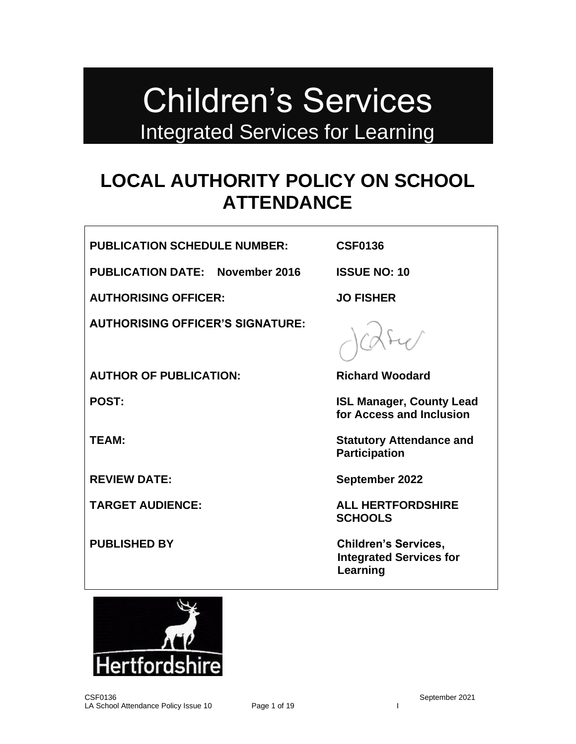# Children's Services Integrated Services for Learning

# **LOCAL AUTHORITY POLICY ON SCHOOL ATTENDANCE**

**PUBLICATION SCHEDULE NUMBER: CSF0136**

**PUBLICATION DATE: November 2016 ISSUE NO: 10**

**AUTHORISING OFFICER: JO FISHER**

**AUTHORISING OFFICER'S SIGNATURE:**

**AUTHOR OF PUBLICATION: Richard Woodard**

**POST: ISL Manager, County Lead for Access and Inclusion**

**TEAM: Statutory Attendance and Participation** 

**REVIEW DATE: September 2022**

**TARGET AUDIENCE: ALL HERTFORDSHIRE SCHOOLS** 

**PUBLISHED BY Children's Services, Integrated Services for Learning**

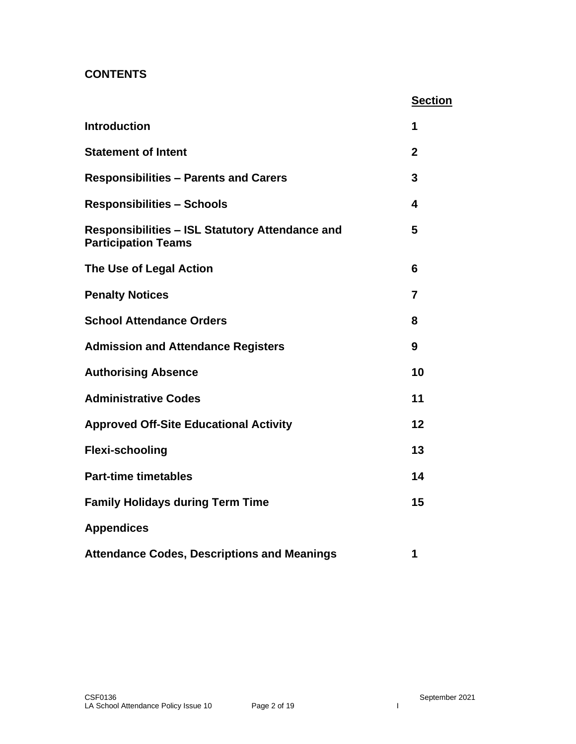# **CONTENTS**

|                                                                                      | <b>Section</b> |
|--------------------------------------------------------------------------------------|----------------|
| <b>Introduction</b>                                                                  | 1              |
| <b>Statement of Intent</b>                                                           | $\mathbf{2}$   |
| <b>Responsibilities - Parents and Carers</b>                                         | 3              |
| <b>Responsibilities - Schools</b>                                                    | 4              |
| <b>Responsibilities - ISL Statutory Attendance and</b><br><b>Participation Teams</b> | 5              |
| The Use of Legal Action                                                              | 6              |
| <b>Penalty Notices</b>                                                               | 7              |
| <b>School Attendance Orders</b>                                                      | 8              |
| <b>Admission and Attendance Registers</b>                                            | 9              |
| <b>Authorising Absence</b>                                                           | 10             |
| <b>Administrative Codes</b>                                                          | 11             |
| <b>Approved Off-Site Educational Activity</b>                                        | 12             |
| <b>Flexi-schooling</b>                                                               | 13             |
| <b>Part-time timetables</b>                                                          | 14             |
| <b>Family Holidays during Term Time</b>                                              | 15             |
| <b>Appendices</b>                                                                    |                |
| <b>Attendance Codes, Descriptions and Meanings</b>                                   | 1              |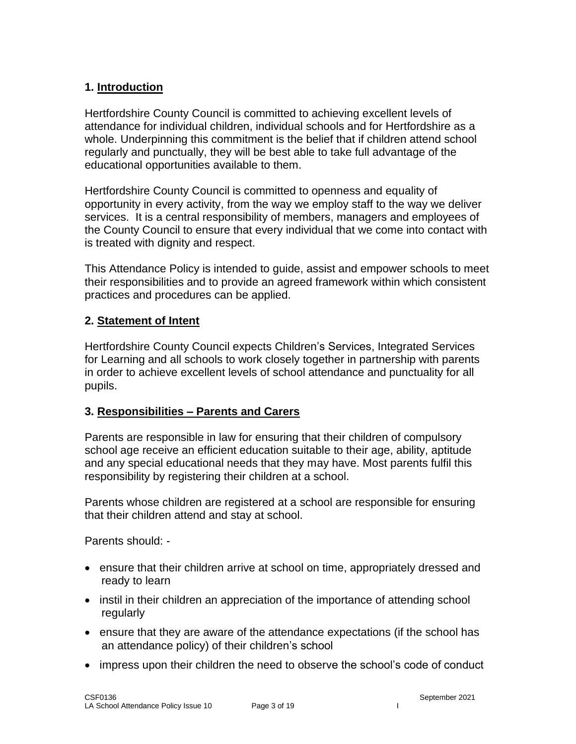# **1. Introduction**

Hertfordshire County Council is committed to achieving excellent levels of attendance for individual children, individual schools and for Hertfordshire as a whole. Underpinning this commitment is the belief that if children attend school regularly and punctually, they will be best able to take full advantage of the educational opportunities available to them.

Hertfordshire County Council is committed to openness and equality of opportunity in every activity, from the way we employ staff to the way we deliver services. It is a central responsibility of members, managers and employees of the County Council to ensure that every individual that we come into contact with is treated with dignity and respect.

This Attendance Policy is intended to guide, assist and empower schools to meet their responsibilities and to provide an agreed framework within which consistent practices and procedures can be applied.

#### **2. Statement of Intent**

Hertfordshire County Council expects Children's Services, Integrated Services for Learning and all schools to work closely together in partnership with parents in order to achieve excellent levels of school attendance and punctuality for all pupils.

#### **3. Responsibilities – Parents and Carers**

Parents are responsible in law for ensuring that their children of compulsory school age receive an efficient education suitable to their age, ability, aptitude and any special educational needs that they may have. Most parents fulfil this responsibility by registering their children at a school.

Parents whose children are registered at a school are responsible for ensuring that their children attend and stay at school.

Parents should: -

- ensure that their children arrive at school on time, appropriately dressed and ready to learn
- instil in their children an appreciation of the importance of attending school regularly
- ensure that they are aware of the attendance expectations (if the school has an attendance policy) of their children's school
- impress upon their children the need to observe the school's code of conduct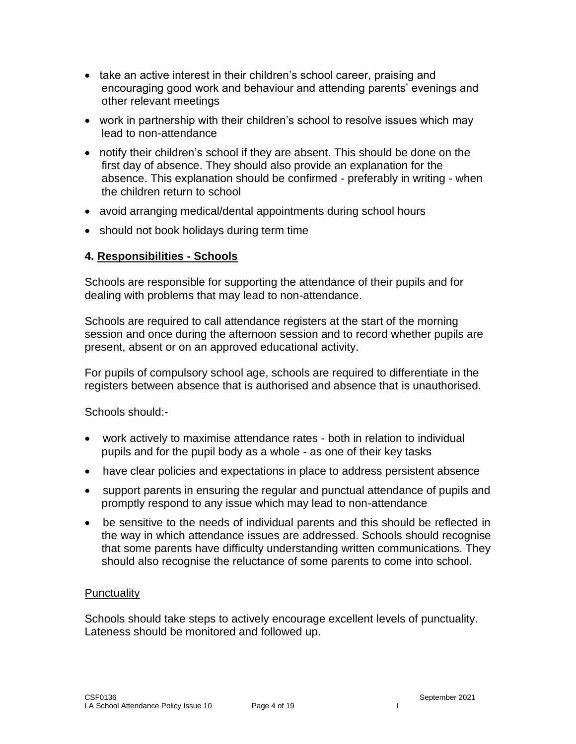- take an active interest in their children's school career, praising and encouraging good work and behaviour and attending parents' evenings and other relevant meetings
- work in partnership with their children's school to resolve issues which may lead to non-attendance
- notify their children's school if they are absent. This should be done on the first day of absence. They should also provide an explanation for the absence. This explanation should be confirmed - preferably in writing - when the children return to school
- avoid arranging medical/dental appointments during school hours
- should not book holidays during term time

#### **4. Responsibilities - Schools**

Schools are responsible for supporting the attendance of their pupils and for dealing with problems that may lead to non-attendance.

Schools are required to call attendance registers at the start of the morning session and once during the afternoon session and to record whether pupils are present, absent or on an approved educational activity.

For pupils of compulsory school age, schools are required to differentiate in the registers between absence that is authorised and absence that is unauthorised.

Schools should:-

- work actively to maximise attendance rates both in relation to individual pupils and for the pupil body as a whole - as one of their key tasks
- have clear policies and expectations in place to address persistent absence
- support parents in ensuring the regular and punctual attendance of pupils and promptly respond to any issue which may lead to non-attendance
- be sensitive to the needs of individual parents and this should be reflected in the way in which attendance issues are addressed. Schools should recognise that some parents have difficulty understanding written communications. They should also recognise the reluctance of some parents to come into school.

#### **Punctuality**

Schools should take steps to actively encourage excellent levels of punctuality. Lateness should be monitored and followed up.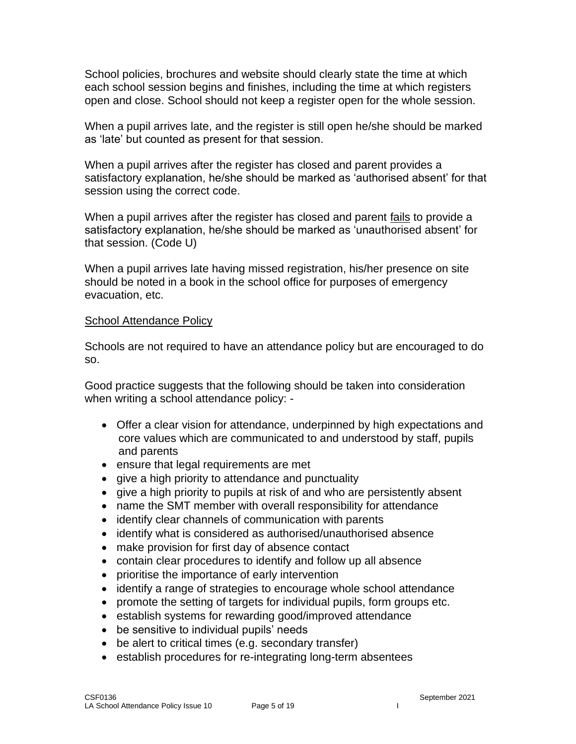School policies, brochures and website should clearly state the time at which each school session begins and finishes, including the time at which registers open and close. School should not keep a register open for the whole session.

When a pupil arrives late, and the register is still open he/she should be marked as 'late' but counted as present for that session.

When a pupil arrives after the register has closed and parent provides a satisfactory explanation, he/she should be marked as 'authorised absent' for that session using the correct code.

When a pupil arrives after the register has closed and parent fails to provide a satisfactory explanation, he/she should be marked as 'unauthorised absent' for that session. (Code U)

When a pupil arrives late having missed registration, his/her presence on site should be noted in a book in the school office for purposes of emergency evacuation, etc.

#### School Attendance Policy

Schools are not required to have an attendance policy but are encouraged to do so.

Good practice suggests that the following should be taken into consideration when writing a school attendance policy: -

- Offer a clear vision for attendance, underpinned by high expectations and core values which are communicated to and understood by staff, pupils and parents
- ensure that legal requirements are met
- give a high priority to attendance and punctuality
- give a high priority to pupils at risk of and who are persistently absent
- name the SMT member with overall responsibility for attendance
- identify clear channels of communication with parents
- identify what is considered as authorised/unauthorised absence
- make provision for first day of absence contact
- contain clear procedures to identify and follow up all absence
- prioritise the importance of early intervention
- identify a range of strategies to encourage whole school attendance
- promote the setting of targets for individual pupils, form groups etc.
- establish systems for rewarding good/improved attendance
- be sensitive to individual pupils' needs
- be alert to critical times (e.g. secondary transfer)
- establish procedures for re-integrating long-term absentees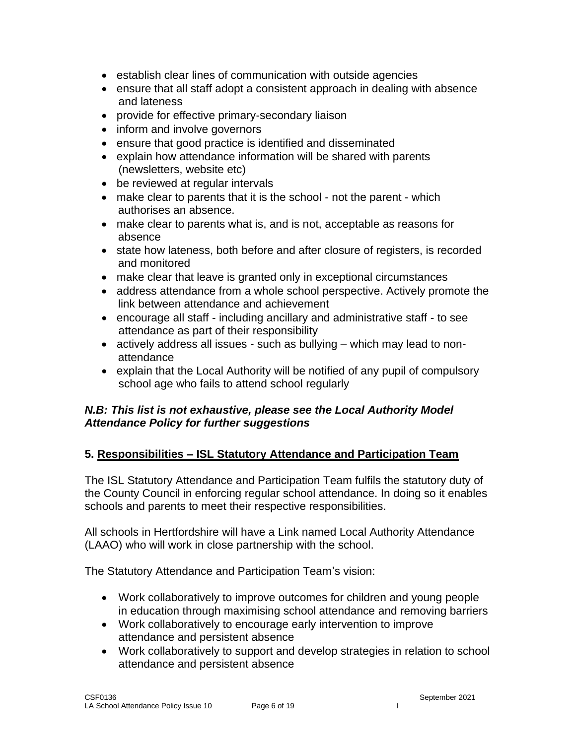- establish clear lines of communication with outside agencies
- ensure that all staff adopt a consistent approach in dealing with absence and lateness
- provide for effective primary-secondary liaison
- inform and involve governors
- ensure that good practice is identified and disseminated
- explain how attendance information will be shared with parents (newsletters, website etc)
- be reviewed at regular intervals
- make clear to parents that it is the school not the parent which authorises an absence.
- make clear to parents what is, and is not, acceptable as reasons for absence
- state how lateness, both before and after closure of registers, is recorded and monitored
- make clear that leave is granted only in exceptional circumstances
- address attendance from a whole school perspective. Actively promote the link between attendance and achievement
- encourage all staff including ancillary and administrative staff to see attendance as part of their responsibility
- actively address all issues such as bullying which may lead to nonattendance
- explain that the Local Authority will be notified of any pupil of compulsory school age who fails to attend school regularly

# *N.B: This list is not exhaustive, please see the Local Authority Model Attendance Policy for further suggestions*

# **5. Responsibilities – ISL Statutory Attendance and Participation Team**

The ISL Statutory Attendance and Participation Team fulfils the statutory duty of the County Council in enforcing regular school attendance. In doing so it enables schools and parents to meet their respective responsibilities.

All schools in Hertfordshire will have a Link named Local Authority Attendance (LAAO) who will work in close partnership with the school.

The Statutory Attendance and Participation Team's vision:

- Work collaboratively to improve outcomes for children and young people in education through maximising school attendance and removing barriers
- Work collaboratively to encourage early intervention to improve attendance and persistent absence
- Work collaboratively to support and develop strategies in relation to school attendance and persistent absence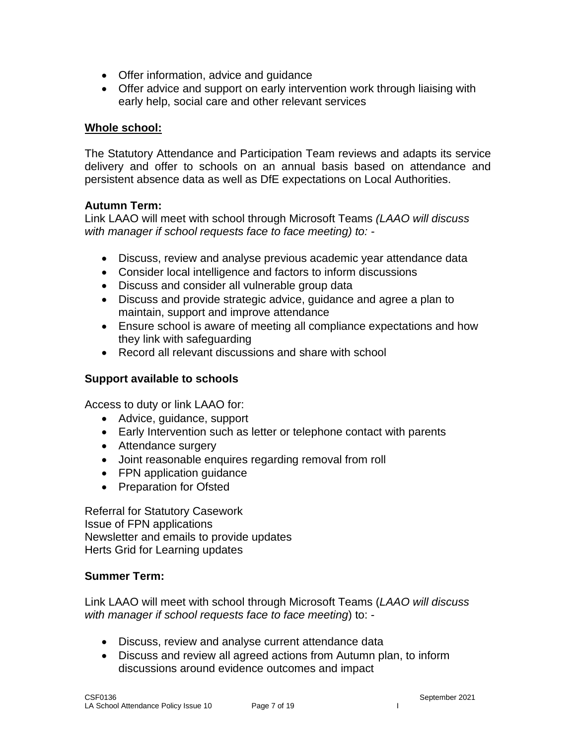- Offer information, advice and guidance
- Offer advice and support on early intervention work through liaising with early help, social care and other relevant services

#### **Whole school:**

The Statutory Attendance and Participation Team reviews and adapts its service delivery and offer to schools on an annual basis based on attendance and persistent absence data as well as DfE expectations on Local Authorities.

#### **Autumn Term:**

Link LAAO will meet with school through Microsoft Teams *(LAAO will discuss with manager if school requests face to face meeting) to: -*

- Discuss, review and analyse previous academic year attendance data
- Consider local intelligence and factors to inform discussions
- Discuss and consider all vulnerable group data
- Discuss and provide strategic advice, guidance and agree a plan to maintain, support and improve attendance
- Ensure school is aware of meeting all compliance expectations and how they link with safeguarding
- Record all relevant discussions and share with school

## **Support available to schools**

Access to duty or link LAAO for:

- Advice, guidance, support
- Early Intervention such as letter or telephone contact with parents
- Attendance surgery
- Joint reasonable enquires regarding removal from roll
- FPN application guidance
- Preparation for Ofsted

Referral for Statutory Casework Issue of FPN applications Newsletter and emails to provide updates Herts Grid for Learning updates

#### **Summer Term:**

Link LAAO will meet with school through Microsoft Teams (*LAAO will discuss with manager if school requests face to face meeting*) to: -

- Discuss, review and analyse current attendance data
- Discuss and review all agreed actions from Autumn plan, to inform discussions around evidence outcomes and impact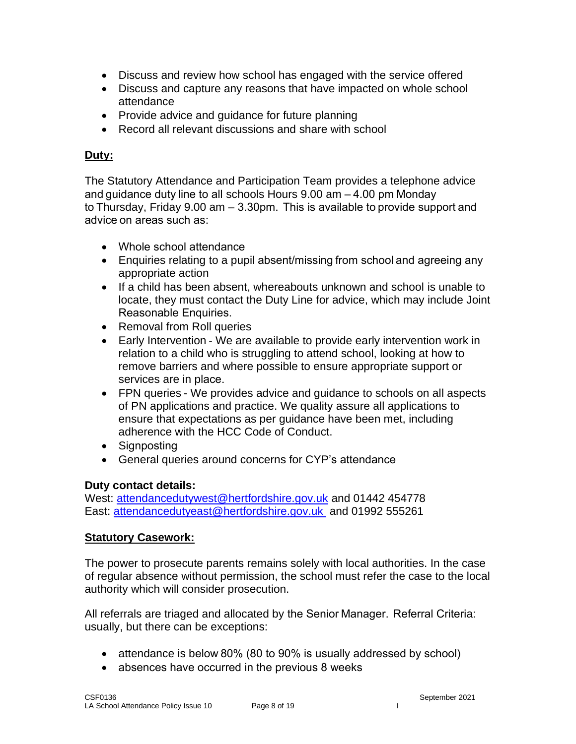- Discuss and review how school has engaged with the service offered
- Discuss and capture any reasons that have impacted on whole school attendance
- Provide advice and guidance for future planning
- Record all relevant discussions and share with school

# **Duty:**

The Statutory Attendance and Participation Team provides a telephone advice and guidance duty line to all schools Hours 9.00 am – 4.00 pm Monday to Thursday, Friday 9.00 am – 3.30pm.  This is available to provide support and advice on areas such as:

- Whole school attendance
- Enquiries relating to a pupil absent/missing from school and agreeing any appropriate action
- If a child has been absent, whereabouts unknown and school is unable to locate, they must contact the Duty Line for advice, which may include Joint Reasonable Enquiries.
- Removal from Roll queries
- Early Intervention We are available to provide early intervention work in relation to a child who is struggling to attend school, looking at how to remove barriers and where possible to ensure appropriate support or services are in place.
- FPN queries We provides advice and guidance to schools on all aspects of PN applications and practice. We quality assure all applications to ensure that expectations as per guidance have been met, including adherence with the HCC Code of Conduct.
- Sianpostina
- General queries around concerns for CYP's attendance

# **Duty contact details:**

West: [attendancedutywest@hertfordshire.gov.uk](mailto:attendancedutywest@hertfordshire.gov.uk) and 01442 454778 East: [attendancedutyeast@hertfordshire.gov.uk](mailto:attendancedutyeast@hertfordshire.gov.uk) and 01992 555261

# **Statutory Casework:**

The power to prosecute parents remains solely with local authorities. In the case of regular absence without permission, the school must refer the case to the local authority which will consider prosecution.

All referrals are triaged and allocated by the Senior Manager.  Referral Criteria: usually, but there can be exceptions:

- attendance is below 80% (80 to 90% is usually addressed by school)
- absences have occurred in the previous 8 weeks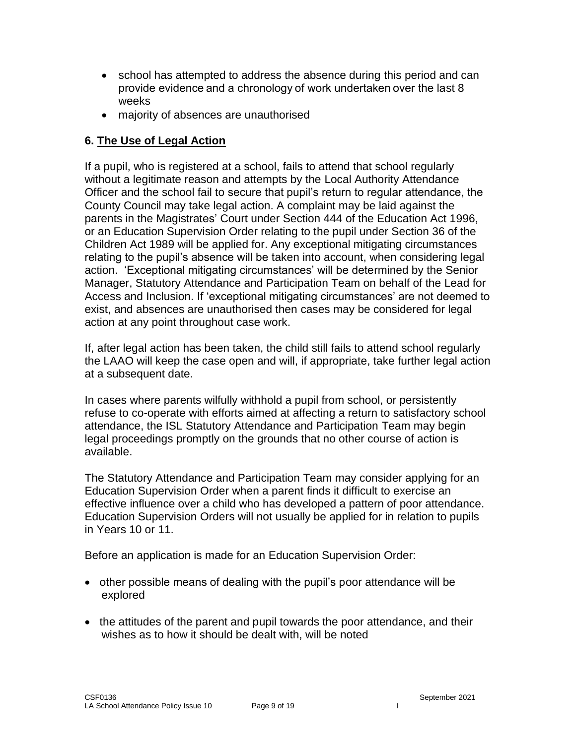- school has attempted to address the absence during this period and can provide evidence and a chronology of work undertaken over the last 8 weeks
- majority of absences are unauthorised

## **6. The Use of Legal Action**

If a pupil, who is registered at a school, fails to attend that school regularly without a legitimate reason and attempts by the Local Authority Attendance Officer and the school fail to secure that pupil's return to regular attendance, the County Council may take legal action. A complaint may be laid against the parents in the Magistrates' Court under Section 444 of the Education Act 1996, or an Education Supervision Order relating to the pupil under Section 36 of the Children Act 1989 will be applied for. Any exceptional mitigating circumstances relating to the pupil's absence will be taken into account, when considering legal action. 'Exceptional mitigating circumstances' will be determined by the Senior Manager, Statutory Attendance and Participation Team on behalf of the Lead for Access and Inclusion. If 'exceptional mitigating circumstances' are not deemed to exist, and absences are unauthorised then cases may be considered for legal action at any point throughout case work.

If, after legal action has been taken, the child still fails to attend school regularly the LAAO will keep the case open and will, if appropriate, take further legal action at a subsequent date.

In cases where parents wilfully withhold a pupil from school, or persistently refuse to co-operate with efforts aimed at affecting a return to satisfactory school attendance, the ISL Statutory Attendance and Participation Team may begin legal proceedings promptly on the grounds that no other course of action is available.

The Statutory Attendance and Participation Team may consider applying for an Education Supervision Order when a parent finds it difficult to exercise an effective influence over a child who has developed a pattern of poor attendance. Education Supervision Orders will not usually be applied for in relation to pupils in Years 10 or 11.

Before an application is made for an Education Supervision Order:

- other possible means of dealing with the pupil's poor attendance will be explored
- the attitudes of the parent and pupil towards the poor attendance, and their wishes as to how it should be dealt with, will be noted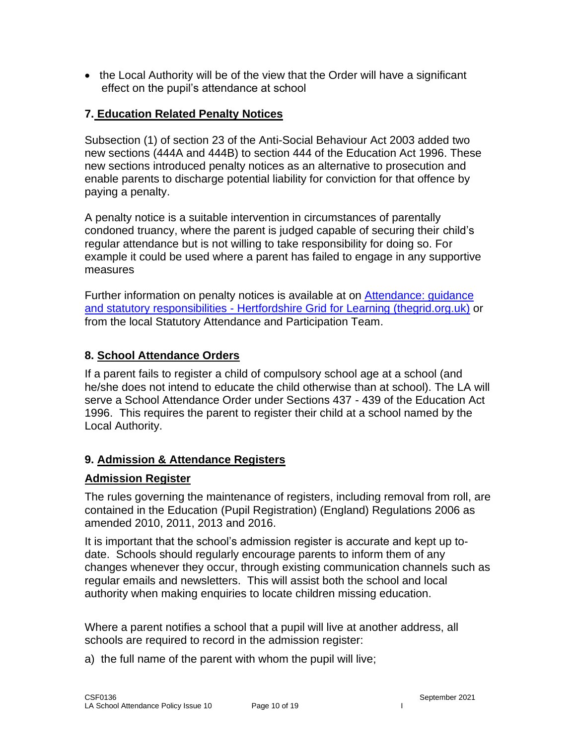• the Local Authority will be of the view that the Order will have a significant effect on the pupil's attendance at school

# **7. Education Related Penalty Notices**

Subsection (1) of section 23 of the Anti-Social Behaviour Act 2003 added two new sections (444A and 444B) to section 444 of the Education Act 1996. These new sections introduced penalty notices as an alternative to prosecution and enable parents to discharge potential liability for conviction for that offence by paying a penalty.

A penalty notice is a suitable intervention in circumstances of parentally condoned truancy, where the parent is judged capable of securing their child's regular attendance but is not willing to take responsibility for doing so. For example it could be used where a parent has failed to engage in any supportive measures

Further information on penalty notices is available at on [Attendance: guidance](https://thegrid.org.uk/admissions-attendance-travel-to-school/attendance/attendance-guidance-and-statutory-responsibilities)  [and statutory responsibilities -](https://thegrid.org.uk/admissions-attendance-travel-to-school/attendance/attendance-guidance-and-statutory-responsibilities) Hertfordshire Grid for Learning (thegrid.org.uk) or from the local Statutory Attendance and Participation Team.

#### **8. School Attendance Orders**

If a parent fails to register a child of compulsory school age at a school (and he/she does not intend to educate the child otherwise than at school). The LA will serve a School Attendance Order under Sections 437 - 439 of the Education Act 1996. This requires the parent to register their child at a school named by the Local Authority.

# **9. Admission & Attendance Registers**

#### **Admission Register**

The rules governing the maintenance of registers, including removal from roll, are contained in the Education (Pupil Registration) (England) Regulations 2006 as amended 2010, 2011, 2013 and 2016.

It is important that the school's admission register is accurate and kept up todate. Schools should regularly encourage parents to inform them of any changes whenever they occur, through existing communication channels such as regular emails and newsletters. This will assist both the school and local authority when making enquiries to locate children missing education.

Where a parent notifies a school that a pupil will live at another address, all schools are required to record in the admission register:

a) the full name of the parent with whom the pupil will live;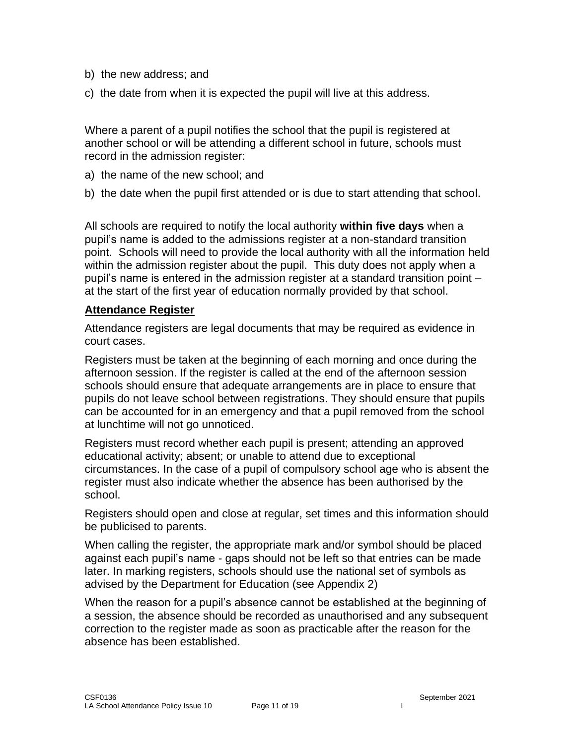- b) the new address; and
- c) the date from when it is expected the pupil will live at this address.

Where a parent of a pupil notifies the school that the pupil is registered at another school or will be attending a different school in future, schools must record in the admission register:

- a) the name of the new school; and
- b) the date when the pupil first attended or is due to start attending that school.

All schools are required to notify the local authority **within five days** when a pupil's name is added to the admissions register at a non-standard transition point. Schools will need to provide the local authority with all the information held within the admission register about the pupil. This duty does not apply when a pupil's name is entered in the admission register at a standard transition point – at the start of the first year of education normally provided by that school.

#### **Attendance Register**

Attendance registers are legal documents that may be required as evidence in court cases.

Registers must be taken at the beginning of each morning and once during the afternoon session. If the register is called at the end of the afternoon session schools should ensure that adequate arrangements are in place to ensure that pupils do not leave school between registrations. They should ensure that pupils can be accounted for in an emergency and that a pupil removed from the school at lunchtime will not go unnoticed.

Registers must record whether each pupil is present; attending an approved educational activity; absent; or unable to attend due to exceptional circumstances. In the case of a pupil of compulsory school age who is absent the register must also indicate whether the absence has been authorised by the school.

Registers should open and close at regular, set times and this information should be publicised to parents.

When calling the register, the appropriate mark and/or symbol should be placed against each pupil's name - gaps should not be left so that entries can be made later. In marking registers, schools should use the national set of symbols as advised by the Department for Education (see Appendix 2)

When the reason for a pupil's absence cannot be established at the beginning of a session, the absence should be recorded as unauthorised and any subsequent correction to the register made as soon as practicable after the reason for the absence has been established.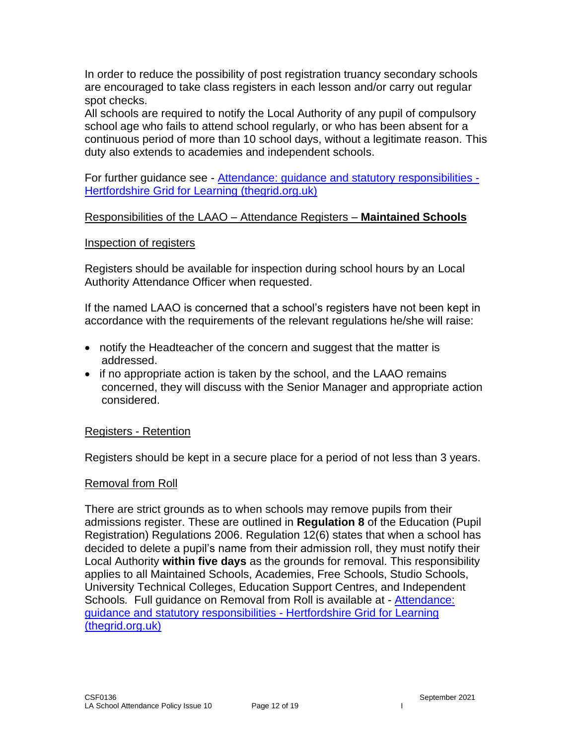In order to reduce the possibility of post registration truancy secondary schools are encouraged to take class registers in each lesson and/or carry out regular spot checks.

All schools are required to notify the Local Authority of any pupil of compulsory school age who fails to attend school regularly, or who has been absent for a continuous period of more than 10 school days, without a legitimate reason. This duty also extends to academies and independent schools.

For further guidance see - [Attendance: guidance and statutory responsibilities -](https://thegrid.org.uk/admissions-attendance-travel-to-school/attendance/attendance-guidance-and-statutory-responsibilities) [Hertfordshire Grid for Learning \(thegrid.org.uk\)](https://thegrid.org.uk/admissions-attendance-travel-to-school/attendance/attendance-guidance-and-statutory-responsibilities)

#### Responsibilities of the LAAO – Attendance Registers – **Maintained Schools**

#### Inspection of registers

Registers should be available for inspection during school hours by an Local Authority Attendance Officer when requested.

If the named LAAO is concerned that a school's registers have not been kept in accordance with the requirements of the relevant regulations he/she will raise:

- notify the Headteacher of the concern and suggest that the matter is addressed.
- if no appropriate action is taken by the school, and the LAAO remains concerned, they will discuss with the Senior Manager and appropriate action considered.

#### Registers - Retention

Registers should be kept in a secure place for a period of not less than 3 years.

#### Removal from Roll

There are strict grounds as to when schools may remove pupils from their admissions register. These are outlined in **Regulation 8** of the Education (Pupil Registration) Regulations 2006. Regulation 12(6) states that when a school has decided to delete a pupil's name from their admission roll, they must notify their Local Authority **within five days** as the grounds for removal. This responsibility applies to all Maintained Schools, Academies, Free Schools, Studio Schools, University Technical Colleges, Education Support Centres, and Independent Schools*.* Full guidance on Removal from Roll is available at - [Attendance:](https://thegrid.org.uk/admissions-attendance-travel-to-school/attendance/attendance-guidance-and-statutory-responsibilities)  [guidance and statutory responsibilities -](https://thegrid.org.uk/admissions-attendance-travel-to-school/attendance/attendance-guidance-and-statutory-responsibilities) Hertfordshire Grid for Learning [\(thegrid.org.uk\)](https://thegrid.org.uk/admissions-attendance-travel-to-school/attendance/attendance-guidance-and-statutory-responsibilities)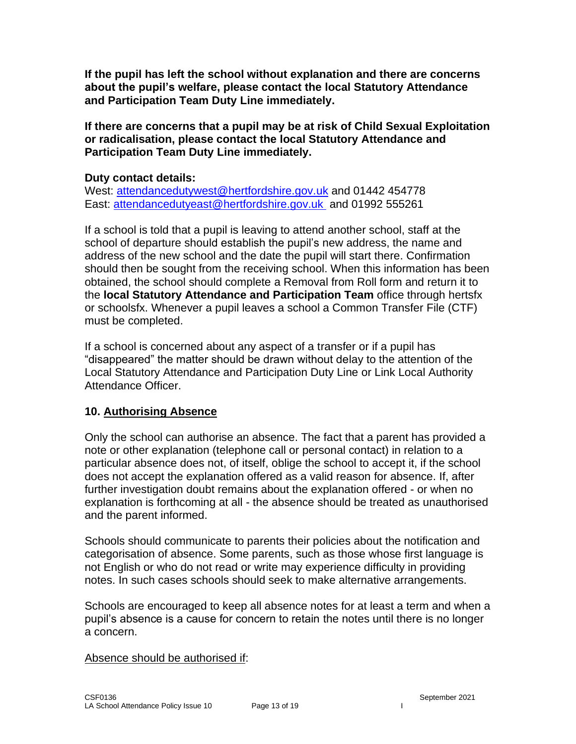**If the pupil has left the school without explanation and there are concerns about the pupil's welfare, please contact the local Statutory Attendance and Participation Team Duty Line immediately.**

**If there are concerns that a pupil may be at risk of Child Sexual Exploitation or radicalisation, please contact the local Statutory Attendance and Participation Team Duty Line immediately.**

#### **Duty contact details:**

West: [attendancedutywest@hertfordshire.gov.uk](mailto:attendancedutywest@hertfordshire.gov.uk) and 01442 454778 East: [attendancedutyeast@hertfordshire.gov.uk](mailto:attendancedutyeast@hertfordshire.gov.uk) and 01992 555261

If a school is told that a pupil is leaving to attend another school, staff at the school of departure should establish the pupil's new address, the name and address of the new school and the date the pupil will start there. Confirmation should then be sought from the receiving school. When this information has been obtained, the school should complete a Removal from Roll form and return it to the **local Statutory Attendance and Participation Team** office through hertsfx or schoolsfx. Whenever a pupil leaves a school a Common Transfer File (CTF) must be completed.

If a school is concerned about any aspect of a transfer or if a pupil has "disappeared" the matter should be drawn without delay to the attention of the Local Statutory Attendance and Participation Duty Line or Link Local Authority Attendance Officer.

#### **10. Authorising Absence**

Only the school can authorise an absence. The fact that a parent has provided a note or other explanation (telephone call or personal contact) in relation to a particular absence does not, of itself, oblige the school to accept it, if the school does not accept the explanation offered as a valid reason for absence. If, after further investigation doubt remains about the explanation offered - or when no explanation is forthcoming at all - the absence should be treated as unauthorised and the parent informed.

Schools should communicate to parents their policies about the notification and categorisation of absence. Some parents, such as those whose first language is not English or who do not read or write may experience difficulty in providing notes. In such cases schools should seek to make alternative arrangements.

Schools are encouraged to keep all absence notes for at least a term and when a pupil's absence is a cause for concern to retain the notes until there is no longer a concern.

#### Absence should be authorised if: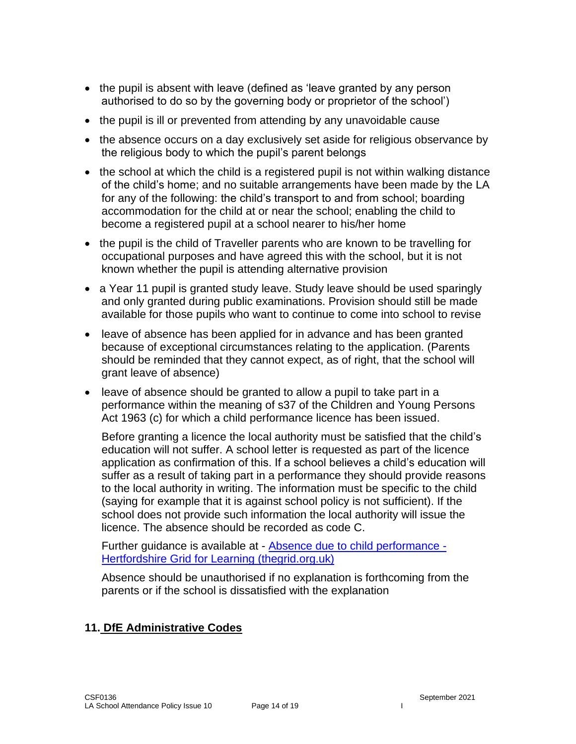- the pupil is absent with leave (defined as 'leave granted by any person authorised to do so by the governing body or proprietor of the school')
- the pupil is ill or prevented from attending by any unavoidable cause
- the absence occurs on a day exclusively set aside for religious observance by the religious body to which the pupil's parent belongs
- the school at which the child is a registered pupil is not within walking distance of the child's home; and no suitable arrangements have been made by the LA for any of the following: the child's transport to and from school; boarding accommodation for the child at or near the school; enabling the child to become a registered pupil at a school nearer to his/her home
- the pupil is the child of Traveller parents who are known to be travelling for occupational purposes and have agreed this with the school, but it is not known whether the pupil is attending alternative provision
- a Year 11 pupil is granted study leave. Study leave should be used sparingly and only granted during public examinations. Provision should still be made available for those pupils who want to continue to come into school to revise
- leave of absence has been applied for in advance and has been granted because of exceptional circumstances relating to the application. (Parents should be reminded that they cannot expect, as of right, that the school will grant leave of absence)
- leave of absence should be granted to allow a pupil to take part in a performance within the meaning of s37 of the Children and Young Persons Act 1963 (c) for which a child performance licence has been issued.

Before granting a licence the local authority must be satisfied that the child's education will not suffer. A school letter is requested as part of the licence application as confirmation of this. If a school believes a child's education will suffer as a result of taking part in a performance they should provide reasons to the local authority in writing. The information must be specific to the child (saying for example that it is against school policy is not sufficient). If the school does not provide such information the local authority will issue the licence. The absence should be recorded as code C.

Further guidance is available at - [Absence due to child performance -](https://thegrid.org.uk/admissions-attendance-travel-to-school/attendance/absence-due-to-child-performance) [Hertfordshire Grid for Learning \(thegrid.org.uk\)](https://thegrid.org.uk/admissions-attendance-travel-to-school/attendance/absence-due-to-child-performance)

Absence should be unauthorised if no explanation is forthcoming from the parents or if the school is dissatisfied with the explanation

# **11. DfE Administrative Codes**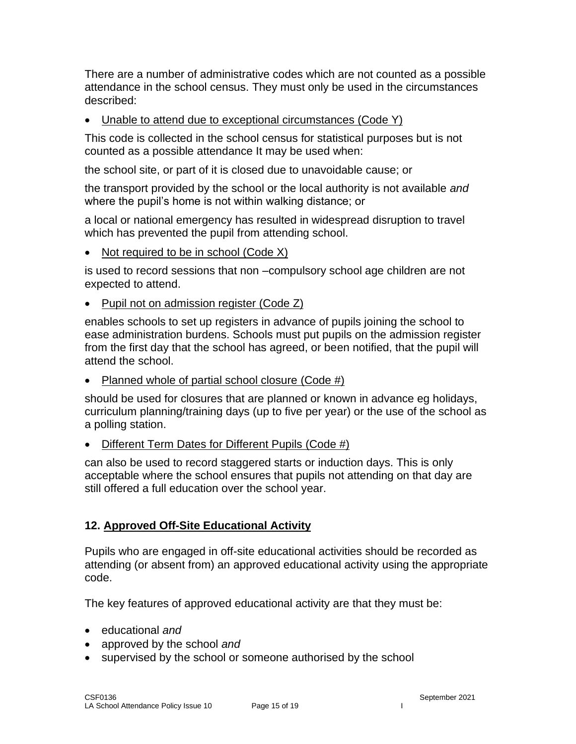There are a number of administrative codes which are not counted as a possible attendance in the school census. They must only be used in the circumstances described:

• Unable to attend due to exceptional circumstances (Code Y)

This code is collected in the school census for statistical purposes but is not counted as a possible attendance It may be used when:

the school site, or part of it is closed due to unavoidable cause; or

the transport provided by the school or the local authority is not available *and*  where the pupil's home is not within walking distance; or

a local or national emergency has resulted in widespread disruption to travel which has prevented the pupil from attending school.

• Not required to be in school (Code X)

is used to record sessions that non –compulsory school age children are not expected to attend.

• Pupil not on admission register (Code Z)

enables schools to set up registers in advance of pupils joining the school to ease administration burdens. Schools must put pupils on the admission register from the first day that the school has agreed, or been notified, that the pupil will attend the school.

• Planned whole of partial school closure (Code #)

should be used for closures that are planned or known in advance eg holidays, curriculum planning/training days (up to five per year) or the use of the school as a polling station.

• Different Term Dates for Different Pupils (Code #)

can also be used to record staggered starts or induction days. This is only acceptable where the school ensures that pupils not attending on that day are still offered a full education over the school year.

# **12. Approved Off-Site Educational Activity**

Pupils who are engaged in off-site educational activities should be recorded as attending (or absent from) an approved educational activity using the appropriate code.

The key features of approved educational activity are that they must be:

- educational *and*
- approved by the school *and*
- supervised by the school or someone authorised by the school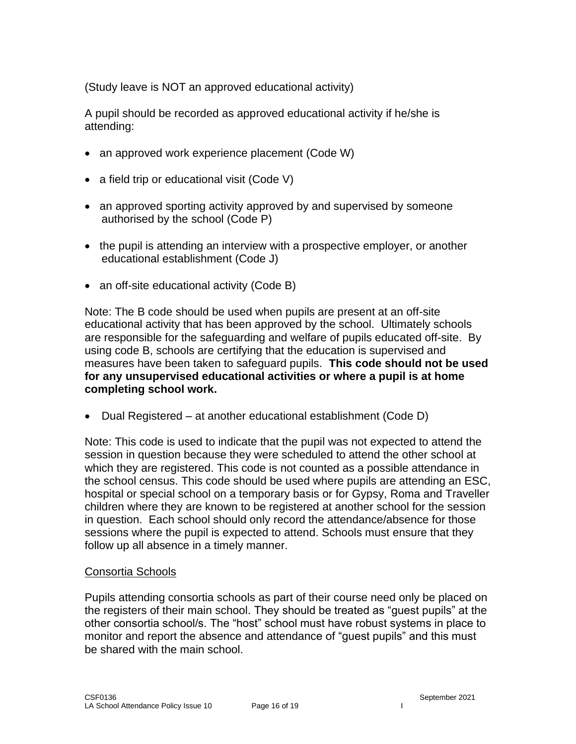(Study leave is NOT an approved educational activity)

A pupil should be recorded as approved educational activity if he/she is attending:

- an approved work experience placement (Code W)
- a field trip or educational visit (Code V)
- an approved sporting activity approved by and supervised by someone authorised by the school (Code P)
- the pupil is attending an interview with a prospective employer, or another educational establishment (Code J)
- an off-site educational activity (Code B)

Note: The B code should be used when pupils are present at an off-site educational activity that has been approved by the school. Ultimately schools are responsible for the safeguarding and welfare of pupils educated off-site. By using code B, schools are certifying that the education is supervised and measures have been taken to safeguard pupils. **This code should not be used for any unsupervised educational activities or where a pupil is at home completing school work.**

• Dual Registered – at another educational establishment (Code D)

Note: This code is used to indicate that the pupil was not expected to attend the session in question because they were scheduled to attend the other school at which they are registered. This code is not counted as a possible attendance in the school census. This code should be used where pupils are attending an ESC, hospital or special school on a temporary basis or for Gypsy, Roma and Traveller children where they are known to be registered at another school for the session in question. Each school should only record the attendance/absence for those sessions where the pupil is expected to attend. Schools must ensure that they follow up all absence in a timely manner.

#### Consortia Schools

Pupils attending consortia schools as part of their course need only be placed on the registers of their main school. They should be treated as "guest pupils" at the other consortia school/s. The "host" school must have robust systems in place to monitor and report the absence and attendance of "guest pupils" and this must be shared with the main school.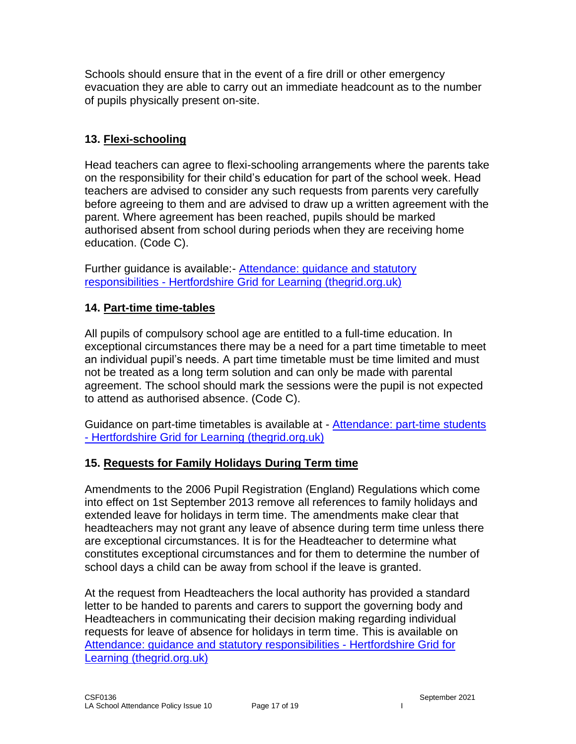Schools should ensure that in the event of a fire drill or other emergency evacuation they are able to carry out an immediate headcount as to the number of pupils physically present on-site.

# **13. Flexi-schooling**

Head teachers can agree to flexi-schooling arrangements where the parents take on the responsibility for their child's education for part of the school week. Head teachers are advised to consider any such requests from parents very carefully before agreeing to them and are advised to draw up a written agreement with the parent. Where agreement has been reached, pupils should be marked authorised absent from school during periods when they are receiving home education. (Code C).

Further guidance is available:- [Attendance: guidance and statutory](https://thegrid.org.uk/admissions-attendance-travel-to-school/attendance/attendance-guidance-and-statutory-responsibilities)  responsibilities - [Hertfordshire Grid for Learning \(thegrid.org.uk\)](https://thegrid.org.uk/admissions-attendance-travel-to-school/attendance/attendance-guidance-and-statutory-responsibilities)

#### **14. Part-time time-tables**

All pupils of compulsory school age are entitled to a full-time education. In exceptional circumstances there may be a need for a part time timetable to meet an individual pupil's needs. A part time timetable must be time limited and must not be treated as a long term solution and can only be made with parental agreement. The school should mark the sessions were the pupil is not expected to attend as authorised absence. (Code C).

Guidance on part-time timetables is available at - [Attendance: part-time students](https://thegrid.org.uk/admissions-attendance-travel-to-school/attendance/attendance-part-time-students)  - [Hertfordshire Grid for Learning \(thegrid.org.uk\)](https://thegrid.org.uk/admissions-attendance-travel-to-school/attendance/attendance-part-time-students)

# **15. Requests for Family Holidays During Term time**

Amendments to the 2006 Pupil Registration (England) Regulations which come into effect on 1st September 2013 remove all references to family holidays and extended leave for holidays in term time. The amendments make clear that headteachers may not grant any leave of absence during term time unless there are exceptional circumstances. It is for the Headteacher to determine what constitutes exceptional circumstances and for them to determine the number of school days a child can be away from school if the leave is granted.

At the request from Headteachers the local authority has provided a standard letter to be handed to parents and carers to support the governing body and Headteachers in communicating their decision making regarding individual requests for leave of absence for holidays in term time. This is available on [Attendance: guidance and statutory responsibilities -](https://thegrid.org.uk/admissions-attendance-travel-to-school/attendance/attendance-guidance-and-statutory-responsibilities) Hertfordshire Grid for [Learning \(thegrid.org.uk\)](https://thegrid.org.uk/admissions-attendance-travel-to-school/attendance/attendance-guidance-and-statutory-responsibilities)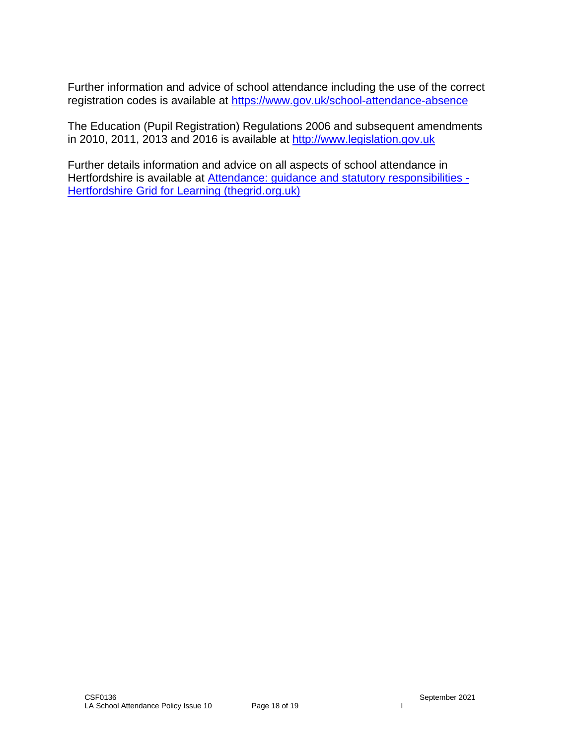Further information and advice of school attendance including the use of the correct registration codes is available at<https://www.gov.uk/school-attendance-absence>

The Education (Pupil Registration) Regulations 2006 and subsequent amendments in 2010, 2011, 2013 and 2016 is available at [http://www.legislation.gov.uk](http://www.legislation.gov.uk/)

Further details information and advice on all aspects of school attendance in Hertfordshire is available at **Attendance: guidance and statutory responsibilities -**[Hertfordshire Grid for Learning \(thegrid.org.uk\)](https://thegrid.org.uk/admissions-attendance-travel-to-school/attendance/attendance-guidance-and-statutory-responsibilities)